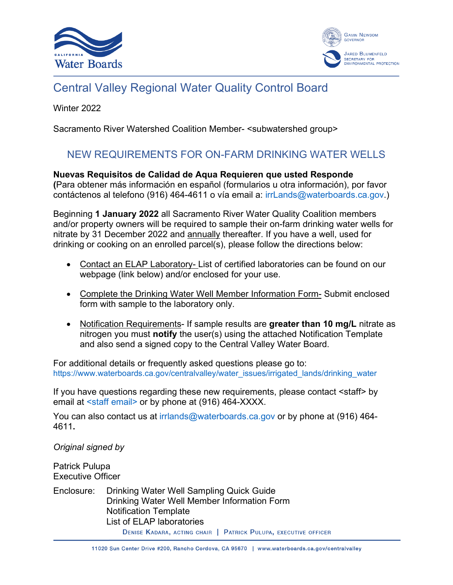



# Central Valley Regional Water Quality Control Board

Winter 2022

Sacramento River Watershed Coalition Member- <subwatershed group>

## NEW REQUIREMENTS FOR ON-FARM DRINKING WATER WELLS

**Nuevas Requisitos de Calidad de Aqua Requieren que usted Responde (**Para obtener más información en español (formularios u otra información), por favor contáctenos al telefono (916) 464-4611 o vía email a: irrLands@waterboards.ca.gov.)

Beginning **1 January 2022** all Sacramento River Water Quality Coalition members and/or property owners will be required to sample their on-farm drinking water wells for nitrate by 31 December 2022 and annually thereafter. If you have a well, used for drinking or cooking on an enrolled parcel(s), please follow the directions below:

- Contact an ELAP Laboratory- List of certified laboratories can be found on our webpage (link below) and/or enclosed for your use.
- Complete the Drinking Water Well Member Information Form- Submit enclosed form with sample to the laboratory only.
- Notification Requirements- If sample results are **greater than 10 mg/L** nitrate as nitrogen you must **notify** the user(s) using the attached Notification Template and also send a signed copy to the Central Valley Water Board.

For additional details or frequently asked questions please go to: [https://www.waterboards.ca.gov/centralvalley/water\\_issues/irrigated\\_lands/drinking\\_water](https://www.waterboards.ca.gov/centralvalley/water_issues/irrigated_lands/drinking_water)

If you have questions regarding these new requirements, please contact <staff> by email at <staff email> or by phone at (916) 464-XXXX.

You can also contact us at [irrlands@waterboards.ca.gov](mailto:irrlands@waterboards.ca.gov) or by phone at (916) 464-4611**.** 

*Original signed by*

Patrick Pulupa Executive Officer

Enclosure: Drinking Water Well Sampling Quick Guide Drinking Water Well Member Information Form Notification Template List of ELAP laboratories

DENISE KADARA, ACTING CHAIR | PATRICK PULUPA, EXECUTIVE OFFICER